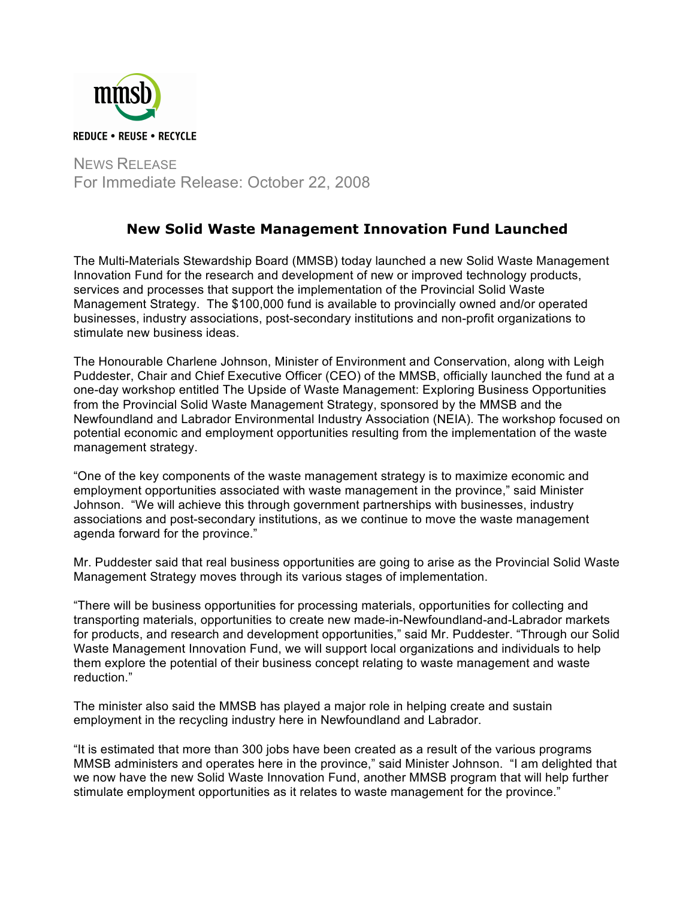

NEWS RELEASE For Immediate Release: October 22, 2008

## **New Solid Waste Management Innovation Fund Launched**

The Multi-Materials Stewardship Board (MMSB) today launched a new Solid Waste Management Innovation Fund for the research and development of new or improved technology products, services and processes that support the implementation of the Provincial Solid Waste Management Strategy. The \$100,000 fund is available to provincially owned and/or operated businesses, industry associations, post-secondary institutions and non-profit organizations to stimulate new business ideas.

The Honourable Charlene Johnson, Minister of Environment and Conservation, along with Leigh Puddester, Chair and Chief Executive Officer (CEO) of the MMSB, officially launched the fund at a one-day workshop entitled The Upside of Waste Management: Exploring Business Opportunities from the Provincial Solid Waste Management Strategy, sponsored by the MMSB and the Newfoundland and Labrador Environmental Industry Association (NEIA). The workshop focused on potential economic and employment opportunities resulting from the implementation of the waste management strategy.

"One of the key components of the waste management strategy is to maximize economic and employment opportunities associated with waste management in the province," said Minister Johnson. "We will achieve this through government partnerships with businesses, industry associations and post-secondary institutions, as we continue to move the waste management agenda forward for the province."

Mr. Puddester said that real business opportunities are going to arise as the Provincial Solid Waste Management Strategy moves through its various stages of implementation.

"There will be business opportunities for processing materials, opportunities for collecting and transporting materials, opportunities to create new made-in-Newfoundland-and-Labrador markets for products, and research and development opportunities," said Mr. Puddester. "Through our Solid Waste Management Innovation Fund, we will support local organizations and individuals to help them explore the potential of their business concept relating to waste management and waste reduction."

The minister also said the MMSB has played a major role in helping create and sustain employment in the recycling industry here in Newfoundland and Labrador.

"It is estimated that more than 300 jobs have been created as a result of the various programs MMSB administers and operates here in the province," said Minister Johnson. "I am delighted that we now have the new Solid Waste Innovation Fund, another MMSB program that will help further stimulate employment opportunities as it relates to waste management for the province."